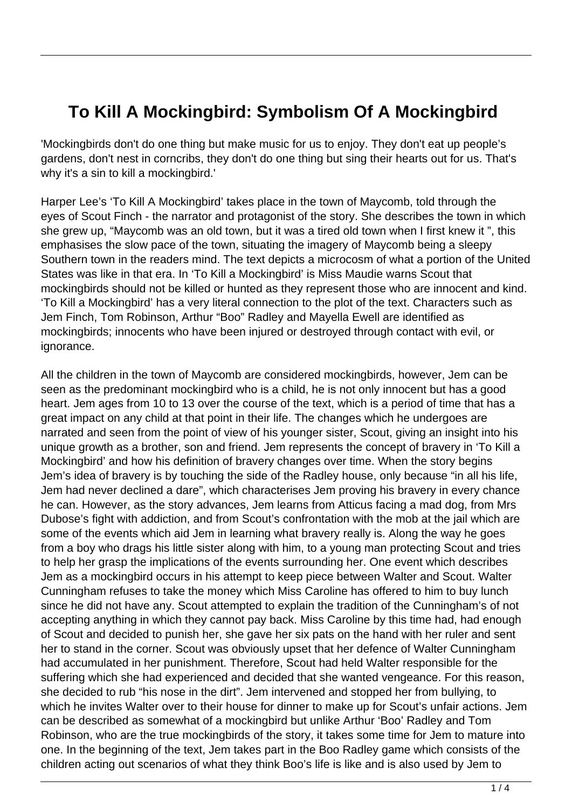## **To Kill A Mockingbird: Symbolism Of A Mockingbird**

'Mockingbirds don't do one thing but make music for us to enjoy. They don't eat up people's gardens, don't nest in corncribs, they don't do one thing but sing their hearts out for us. That's why it's a sin to kill a mockingbird.'

Harper Lee's 'To Kill A Mockingbird' takes place in the town of Maycomb, told through the eyes of Scout Finch - the narrator and protagonist of the story. She describes the town in which she grew up, "Maycomb was an old town, but it was a tired old town when I first knew it ", this emphasises the slow pace of the town, situating the imagery of Maycomb being a sleepy Southern town in the readers mind. The text depicts a microcosm of what a portion of the United States was like in that era. In 'To Kill a Mockingbird' is Miss Maudie warns Scout that mockingbirds should not be killed or hunted as they represent those who are innocent and kind. 'To Kill a Mockingbird' has a very literal connection to the plot of the text. Characters such as Jem Finch, Tom Robinson, Arthur "Boo" Radley and Mayella Ewell are identified as mockingbirds; innocents who have been injured or destroyed through contact with evil, or ignorance.

All the children in the town of Maycomb are considered mockingbirds, however, Jem can be seen as the predominant mockingbird who is a child, he is not only innocent but has a good heart. Jem ages from 10 to 13 over the course of the text, which is a period of time that has a great impact on any child at that point in their life. The changes which he undergoes are narrated and seen from the point of view of his younger sister, Scout, giving an insight into his unique growth as a brother, son and friend. Jem represents the concept of bravery in 'To Kill a Mockingbird' and how his definition of bravery changes over time. When the story begins Jem's idea of bravery is by touching the side of the Radley house, only because "in all his life, Jem had never declined a dare", which characterises Jem proving his bravery in every chance he can. However, as the story advances, Jem learns from Atticus facing a mad dog, from Mrs Dubose's fight with addiction, and from Scout's confrontation with the mob at the jail which are some of the events which aid Jem in learning what bravery really is. Along the way he goes from a boy who drags his little sister along with him, to a young man protecting Scout and tries to help her grasp the implications of the events surrounding her. One event which describes Jem as a mockingbird occurs in his attempt to keep piece between Walter and Scout. Walter Cunningham refuses to take the money which Miss Caroline has offered to him to buy lunch since he did not have any. Scout attempted to explain the tradition of the Cunningham's of not accepting anything in which they cannot pay back. Miss Caroline by this time had, had enough of Scout and decided to punish her, she gave her six pats on the hand with her ruler and sent her to stand in the corner. Scout was obviously upset that her defence of Walter Cunningham had accumulated in her punishment. Therefore, Scout had held Walter responsible for the suffering which she had experienced and decided that she wanted vengeance. For this reason, she decided to rub "his nose in the dirt". Jem intervened and stopped her from bullying, to which he invites Walter over to their house for dinner to make up for Scout's unfair actions. Jem can be described as somewhat of a mockingbird but unlike Arthur 'Boo' Radley and Tom Robinson, who are the true mockingbirds of the story, it takes some time for Jem to mature into one. In the beginning of the text, Jem takes part in the Boo Radley game which consists of the children acting out scenarios of what they think Boo's life is like and is also used by Jem to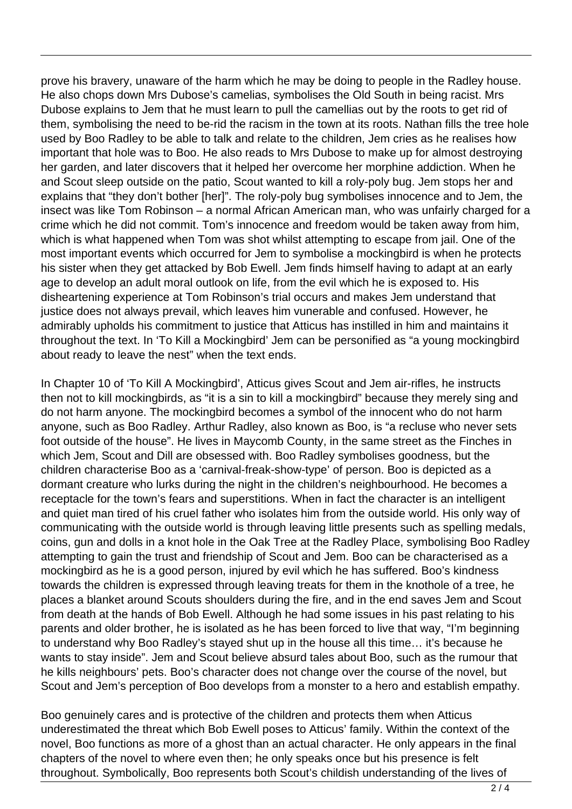prove his bravery, unaware of the harm which he may be doing to people in the Radley house. He also chops down Mrs Dubose's camelias, symbolises the Old South in being racist. Mrs Dubose explains to Jem that he must learn to pull the camellias out by the roots to get rid of them, symbolising the need to be-rid the racism in the town at its roots. Nathan fills the tree hole used by Boo Radley to be able to talk and relate to the children, Jem cries as he realises how important that hole was to Boo. He also reads to Mrs Dubose to make up for almost destroying her garden, and later discovers that it helped her overcome her morphine addiction. When he and Scout sleep outside on the patio, Scout wanted to kill a roly-poly bug. Jem stops her and explains that "they don't bother [her]". The roly-poly bug symbolises innocence and to Jem, the insect was like Tom Robinson – a normal African American man, who was unfairly charged for a crime which he did not commit. Tom's innocence and freedom would be taken away from him, which is what happened when Tom was shot whilst attempting to escape from jail. One of the most important events which occurred for Jem to symbolise a mockingbird is when he protects his sister when they get attacked by Bob Ewell. Jem finds himself having to adapt at an early age to develop an adult moral outlook on life, from the evil which he is exposed to. His disheartening experience at Tom Robinson's trial occurs and makes Jem understand that justice does not always prevail, which leaves him vunerable and confused. However, he admirably upholds his commitment to justice that Atticus has instilled in him and maintains it throughout the text. In 'To Kill a Mockingbird' Jem can be personified as "a young mockingbird about ready to leave the nest" when the text ends.

In Chapter 10 of 'To Kill A Mockingbird', Atticus gives Scout and Jem air-rifles, he instructs then not to kill mockingbirds, as "it is a sin to kill a mockingbird" because they merely sing and do not harm anyone. The mockingbird becomes a symbol of the innocent who do not harm anyone, such as Boo Radley. Arthur Radley, also known as Boo, is "a recluse who never sets foot outside of the house". He lives in Maycomb County, in the same street as the Finches in which Jem, Scout and Dill are obsessed with. Boo Radley symbolises goodness, but the children characterise Boo as a 'carnival-freak-show-type' of person. Boo is depicted as a dormant creature who lurks during the night in the children's neighbourhood. He becomes a receptacle for the town's fears and superstitions. When in fact the character is an intelligent and quiet man tired of his cruel father who isolates him from the outside world. His only way of communicating with the outside world is through leaving little presents such as spelling medals, coins, gun and dolls in a knot hole in the Oak Tree at the Radley Place, symbolising Boo Radley attempting to gain the trust and friendship of Scout and Jem. Boo can be characterised as a mockingbird as he is a good person, injured by evil which he has suffered. Boo's kindness towards the children is expressed through leaving treats for them in the knothole of a tree, he places a blanket around Scouts shoulders during the fire, and in the end saves Jem and Scout from death at the hands of Bob Ewell. Although he had some issues in his past relating to his parents and older brother, he is isolated as he has been forced to live that way, "I'm beginning to understand why Boo Radley's stayed shut up in the house all this time… it's because he wants to stay inside". Jem and Scout believe absurd tales about Boo, such as the rumour that he kills neighbours' pets. Boo's character does not change over the course of the novel, but Scout and Jem's perception of Boo develops from a monster to a hero and establish empathy.

Boo genuinely cares and is protective of the children and protects them when Atticus underestimated the threat which Bob Ewell poses to Atticus' family. Within the context of the novel, Boo functions as more of a ghost than an actual character. He only appears in the final chapters of the novel to where even then; he only speaks once but his presence is felt throughout. Symbolically, Boo represents both Scout's childish understanding of the lives of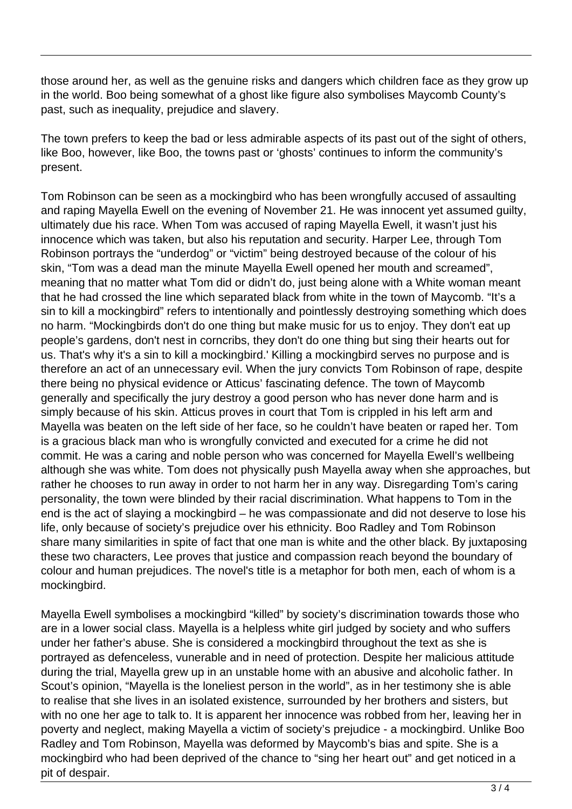those around her, as well as the genuine risks and dangers which children face as they grow up in the world. Boo being somewhat of a ghost like figure also symbolises Maycomb County's past, such as inequality, prejudice and slavery.

The town prefers to keep the bad or less admirable aspects of its past out of the sight of others, like Boo, however, like Boo, the towns past or 'ghosts' continues to inform the community's present.

Tom Robinson can be seen as a mockingbird who has been wrongfully accused of assaulting and raping Mayella Ewell on the evening of November 21. He was innocent yet assumed guilty, ultimately due his race. When Tom was accused of raping Mayella Ewell, it wasn't just his innocence which was taken, but also his reputation and security. Harper Lee, through Tom Robinson portrays the "underdog" or "victim" being destroyed because of the colour of his skin, "Tom was a dead man the minute Mayella Ewell opened her mouth and screamed", meaning that no matter what Tom did or didn't do, just being alone with a White woman meant that he had crossed the line which separated black from white in the town of Maycomb. "It's a sin to kill a mockingbird" refers to intentionally and pointlessly destroying something which does no harm. "Mockingbirds don't do one thing but make music for us to enjoy. They don't eat up people's gardens, don't nest in corncribs, they don't do one thing but sing their hearts out for us. That's why it's a sin to kill a mockingbird.' Killing a mockingbird serves no purpose and is therefore an act of an unnecessary evil. When the jury convicts Tom Robinson of rape, despite there being no physical evidence or Atticus' fascinating defence. The town of Maycomb generally and specifically the jury destroy a good person who has never done harm and is simply because of his skin. Atticus proves in court that Tom is crippled in his left arm and Mayella was beaten on the left side of her face, so he couldn't have beaten or raped her. Tom is a gracious black man who is wrongfully convicted and executed for a crime he did not commit. He was a caring and noble person who was concerned for Mayella Ewell's wellbeing although she was white. Tom does not physically push Mayella away when she approaches, but rather he chooses to run away in order to not harm her in any way. Disregarding Tom's caring personality, the town were blinded by their racial discrimination. What happens to Tom in the end is the act of slaying a mockingbird – he was compassionate and did not deserve to lose his life, only because of society's prejudice over his ethnicity. Boo Radley and Tom Robinson share many similarities in spite of fact that one man is white and the other black. By juxtaposing these two characters, Lee proves that justice and compassion reach beyond the boundary of colour and human prejudices. The novel's title is a metaphor for both men, each of whom is a mockingbird.

Mayella Ewell symbolises a mockingbird "killed" by society's discrimination towards those who are in a lower social class. Mayella is a helpless white girl judged by society and who suffers under her father's abuse. She is considered a mockingbird throughout the text as she is portrayed as defenceless, vunerable and in need of protection. Despite her malicious attitude during the trial, Mayella grew up in an unstable home with an abusive and alcoholic father. In Scout's opinion, "Mayella is the loneliest person in the world", as in her testimony she is able to realise that she lives in an isolated existence, surrounded by her brothers and sisters, but with no one her age to talk to. It is apparent her innocence was robbed from her, leaving her in poverty and neglect, making Mayella a victim of society's prejudice - a mockingbird. Unlike Boo Radley and Tom Robinson, Mayella was deformed by Maycomb's bias and spite. She is a mockingbird who had been deprived of the chance to "sing her heart out" and get noticed in a pit of despair.